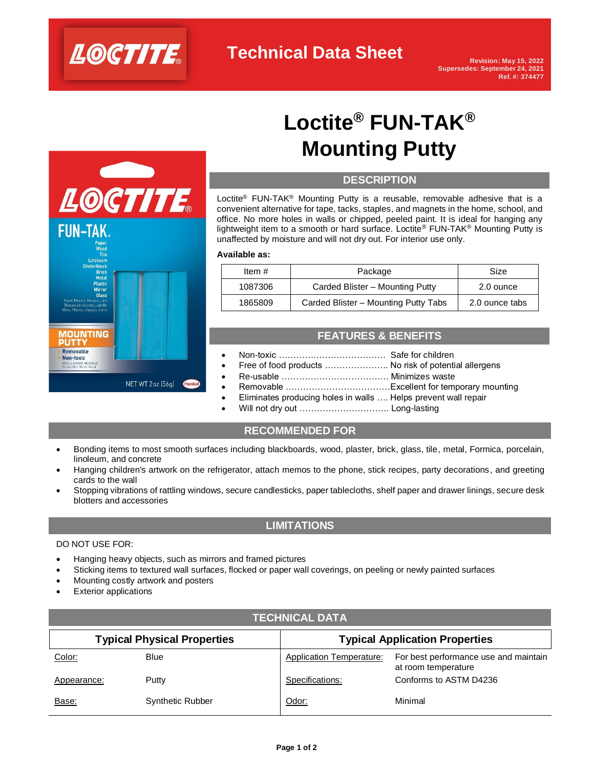



# **Loctite® FUN-TAK® Mounting Putty**

## **DESCRIPTION**

Loctite<sup>®</sup> FUN-TAK<sup>®</sup> Mounting Putty is a reusable, removable adhesive that is a convenient alternative for tape, tacks, staples, and magnets in the home, school, and office. No more holes in walls or chipped, peeled paint. It is ideal for hanging any lightweight item to a smooth or hard surface. Loctite® FUN-TAK® Mounting Putty is unaffected by moisture and will not dry out. For interior use only.

#### **Available as:**

| Item $#$ | Package                              | Size           |
|----------|--------------------------------------|----------------|
| 1087306  | Carded Blister - Mounting Putty      | 2.0 ounce      |
| 1865809  | Carded Blister - Mounting Putty Tabs | 2.0 ounce tabs |

# **FEATURES & BENEFITS**

- Non-toxic ………………………………. Safe for children
- Free of food products ........................ No risk of potential allergens
- Re-usable ………………………………. Minimizes waste
- Removable ………………………………Excellent for temporary mounting
- Eliminates producing holes in walls …. Helps prevent wall repair
	- Will not dry out ................................. Long-lasting

# **RECOMMENDED FOR**

- Bonding items to most smooth surfaces including blackboards, wood, plaster, brick, glass, tile, metal, Formica, porcelain, linoleum, and concrete
- Hanging children's artwork on the refrigerator, attach memos to the phone, stick recipes, party decorations, and greeting cards to the wall
- Stopping vibrations of rattling windows, secure candlesticks, paper tablecloths, shelf paper and drawer linings, secure desk blotters and accessories

# **LIMITATIONS**

#### DO NOT USE FOR:

- Hanging heavy objects, such as mirrors and framed pictures
- Sticking items to textured wall surfaces, flocked or paper wall coverings, on peeling or newly painted surfaces
- Mounting costly artwork and posters
- **Exterior applications**

| <b>Typical Physical Properties</b> |                         |                                 | <b>Typical Application Properties</b>                        |  |  |
|------------------------------------|-------------------------|---------------------------------|--------------------------------------------------------------|--|--|
| Color:                             | <b>Blue</b>             | <b>Application Temperature:</b> | For best performance use and maintain<br>at room temperature |  |  |
| Appearance:                        | Putty                   | Specifications:                 | Conforms to ASTM D4236                                       |  |  |
| Base:                              | <b>Synthetic Rubber</b> | Odor:                           | Minimal                                                      |  |  |

**TECHNICAL DATA**